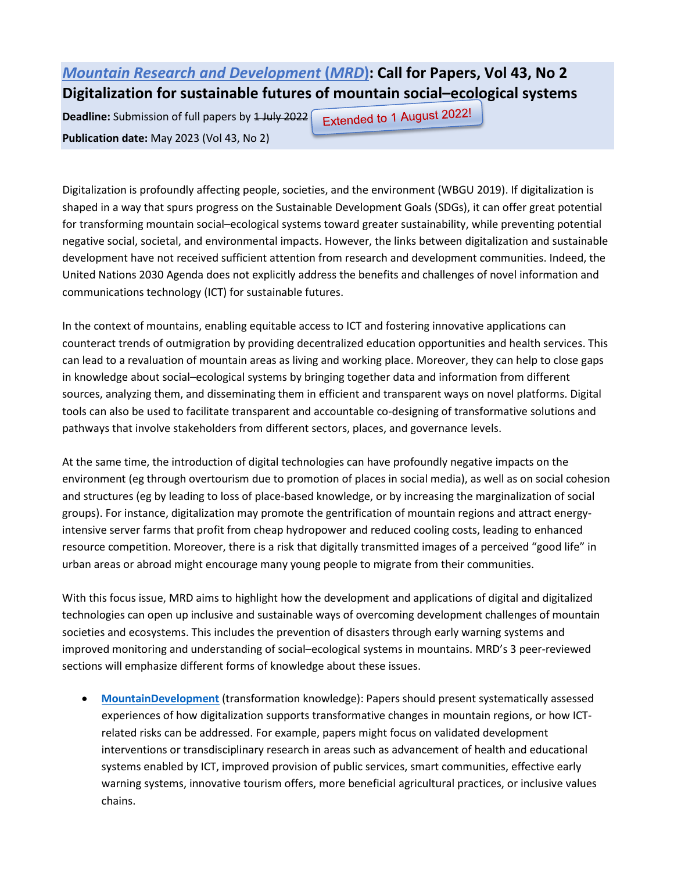## *[Mountain Research and Development](http://www.mrd-journal.org/)* **[\(](http://www.mrd-journal.org/)***[MRD](http://www.mrd-journal.org/)***[\):](http://www.mrd-journal.org/) Call for Papers, Vol 43, No 2 Digitalization for sustainable futures of mountain social–ecological systems**

**Deadline:** Submission of full papers by 1 July 2022 **Publication date:** May 2023 (Vol 43, No 2)

Extended to 1 August 2022!

Digitalization is profoundly affecting people, societies, and the environment (WBGU 2019). If digitalization is shaped in a way that spurs progress on the Sustainable Development Goals (SDGs), it can offer great potential for transforming mountain social–ecological systems toward greater sustainability, while preventing potential negative social, societal, and environmental impacts. However, the links between digitalization and sustainable development have not received sufficient attention from research and development communities. Indeed, the United Nations 2030 Agenda does not explicitly address the benefits and challenges of novel information and communications technology (ICT) for sustainable futures.

In the context of mountains, enabling equitable access to ICT and fostering innovative applications can counteract trends of outmigration by providing decentralized education opportunities and health services. This can lead to a revaluation of mountain areas as living and working place. Moreover, they can help to close gaps in knowledge about social–ecological systems by bringing together data and information from different sources, analyzing them, and disseminating them in efficient and transparent ways on novel platforms. Digital tools can also be used to facilitate transparent and accountable co-designing of transformative solutions and pathways that involve stakeholders from different sectors, places, and governance levels.

At the same time, the introduction of digital technologies can have profoundly negative impacts on the environment (eg through overtourism due to promotion of places in social media), as well as on social cohesion and structures (eg by leading to loss of place-based knowledge, or by increasing the marginalization of social groups). For instance, digitalization may promote the gentrification of mountain regions and attract energyintensive server farms that profit from cheap hydropower and reduced cooling costs, leading to enhanced resource competition. Moreover, there is a risk that digitally transmitted images of a perceived "good life" in urban areas or abroad might encourage many young people to migrate from their communities.

With this focus issue, MRD aims to highlight how the development and applications of digital and digitalized technologies can open up inclusive and sustainable ways of overcoming development challenges of mountain societies and ecosystems. This includes the prevention of disasters through early warning systems and improved monitoring and understanding of social–ecological systems in mountains. MRD's 3 peer-reviewed sections will emphasize different forms of knowledge about these issues.

• **[MountainDevelopment](https://www.mrd-journal.org/about/section-policies/#MountainDevelopment)** (transformation knowledge): Papers should present systematically assessed experiences of how digitalization supports transformative changes in mountain regions, or how ICTrelated risks can be addressed. For example, papers might focus on validated development interventions or transdisciplinary research in areas such as advancement of health and educational systems enabled by ICT, improved provision of public services, smart communities, effective early warning systems, innovative tourism offers, more beneficial agricultural practices, or inclusive values chains.